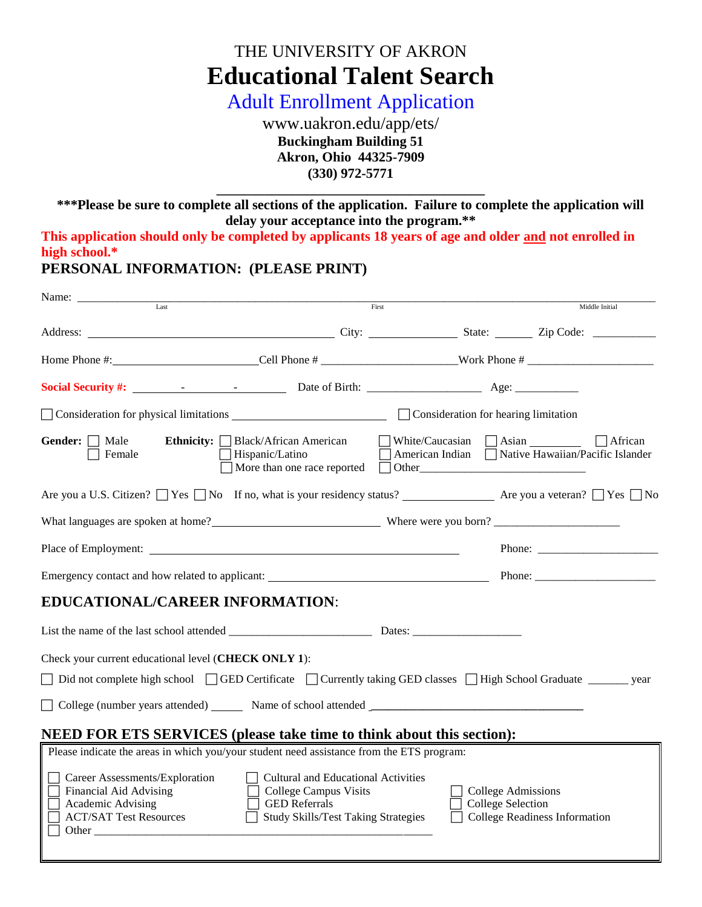# THE UNIVERSITY OF AKRON **Educational Talent Search**

Adult Enrollment Application

www.uakron.edu/app/ets/ **Buckingham Building 51 Akron, Ohio 44325-7909 (330) 972-5771**

**\*\*\*Please be sure to complete all sections of the application. Failure to complete the application will delay your acceptance into the program.\*\***

**\_\_\_\_\_\_\_\_\_\_\_\_\_\_\_\_\_\_\_\_\_\_\_\_\_\_\_\_\_\_\_\_\_\_\_\_\_\_\_** 

**This application should only be completed by applicants 18 years of age and older and not enrolled in high school.\***

**PERSONAL INFORMATION: (PLEASE PRINT)**

| $\overline{\text{Last}}$                                                                                                                        | First                                                                                                                    |  |                                                       | Middle Initial                                                                                                                                                                                                                                                                                                                                                                                               |
|-------------------------------------------------------------------------------------------------------------------------------------------------|--------------------------------------------------------------------------------------------------------------------------|--|-------------------------------------------------------|--------------------------------------------------------------------------------------------------------------------------------------------------------------------------------------------------------------------------------------------------------------------------------------------------------------------------------------------------------------------------------------------------------------|
|                                                                                                                                                 |                                                                                                                          |  |                                                       |                                                                                                                                                                                                                                                                                                                                                                                                              |
|                                                                                                                                                 |                                                                                                                          |  |                                                       |                                                                                                                                                                                                                                                                                                                                                                                                              |
|                                                                                                                                                 |                                                                                                                          |  |                                                       |                                                                                                                                                                                                                                                                                                                                                                                                              |
| Consideration for physical limitations Consideration for hearing limitation                                                                     |                                                                                                                          |  |                                                       |                                                                                                                                                                                                                                                                                                                                                                                                              |
| Gender: $\Box$ Male<br><b>Ethnicity:</b> $\Box$ Black/African American<br>Female<br>$\Box$ Hispanic/Latino                                      | More than one race reported $\Box$ Other                                                                                 |  |                                                       | ■ White/Caucasian ■ Asian ■ African<br>American Indian Native Hawaiian/Pacific Islander                                                                                                                                                                                                                                                                                                                      |
| Are you a U.S. Citizen? Nes No If no, what is your residency status? Ness No 2 Are you a veteran? Nes No                                        |                                                                                                                          |  |                                                       |                                                                                                                                                                                                                                                                                                                                                                                                              |
|                                                                                                                                                 |                                                                                                                          |  |                                                       |                                                                                                                                                                                                                                                                                                                                                                                                              |
|                                                                                                                                                 |                                                                                                                          |  |                                                       | Phone: $\frac{1}{\sqrt{1-\frac{1}{2}}\sqrt{1-\frac{1}{2}}\sqrt{1-\frac{1}{2}}\sqrt{1-\frac{1}{2}}\sqrt{1-\frac{1}{2}}\sqrt{1-\frac{1}{2}}\sqrt{1-\frac{1}{2}}\sqrt{1-\frac{1}{2}}\sqrt{1-\frac{1}{2}}\sqrt{1-\frac{1}{2}}\sqrt{1-\frac{1}{2}}\sqrt{1-\frac{1}{2}}\sqrt{1-\frac{1}{2}}\sqrt{1-\frac{1}{2}}\sqrt{1-\frac{1}{2}}\sqrt{1-\frac{1}{2}}\sqrt{1-\frac{1}{2}}\sqrt{1-\frac{1}{2}}\sqrt{1-\frac{1}{2$ |
|                                                                                                                                                 |                                                                                                                          |  |                                                       |                                                                                                                                                                                                                                                                                                                                                                                                              |
| <b>EDUCATIONAL/CAREER INFORMATION:</b>                                                                                                          |                                                                                                                          |  |                                                       |                                                                                                                                                                                                                                                                                                                                                                                                              |
|                                                                                                                                                 |                                                                                                                          |  |                                                       |                                                                                                                                                                                                                                                                                                                                                                                                              |
| Check your current educational level (CHECK ONLY 1):                                                                                            |                                                                                                                          |  |                                                       |                                                                                                                                                                                                                                                                                                                                                                                                              |
| Did not complete high school GED Certificate Currently taking GED classes High School Graduate _______ year                                     |                                                                                                                          |  |                                                       |                                                                                                                                                                                                                                                                                                                                                                                                              |
| College (number years attended) Name of school attended Name (Name 2016)                                                                        |                                                                                                                          |  |                                                       |                                                                                                                                                                                                                                                                                                                                                                                                              |
| <b>NEED FOR ETS SERVICES</b> (please take time to think about this section):                                                                    |                                                                                                                          |  |                                                       |                                                                                                                                                                                                                                                                                                                                                                                                              |
| Please indicate the areas in which you/your student need assistance from the ETS program:                                                       |                                                                                                                          |  |                                                       |                                                                                                                                                                                                                                                                                                                                                                                                              |
| Career Assessments/Exploration<br>Financial Aid Advising<br><b>GED</b> Referrals<br>Academic Advising<br><b>ACT/SAT Test Resources</b><br>Other | $\Box$ Cultural and Educational Activities<br>$\Box$ College Campus Visits<br><b>Study Skills/Test Taking Strategies</b> |  | <b>College Admissions</b><br><b>College Selection</b> | College Readiness Information                                                                                                                                                                                                                                                                                                                                                                                |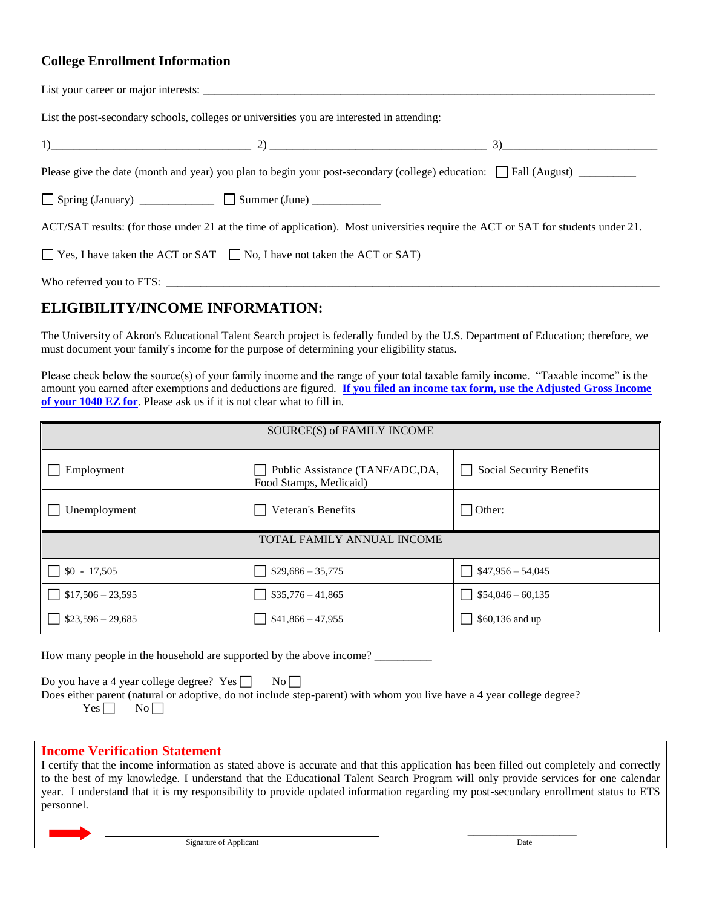### **College Enrollment Information**

| List the post-secondary schools, colleges or universities you are interested in attending:                                        |
|-----------------------------------------------------------------------------------------------------------------------------------|
| 1) $\qquad \qquad \qquad$ 2) $\qquad \qquad$ 2) $\qquad \qquad$ 3)                                                                |
|                                                                                                                                   |
| Spring (January) ______________ Summer (June) _________                                                                           |
| ACT/SAT results: (for those under 21 at the time of application). Most universities require the ACT or SAT for students under 21. |
| $\Box$ Yes, I have taken the ACT or SAT $\Box$ No, I have not taken the ACT or SAT)                                               |
|                                                                                                                                   |

## **ELIGIBILITY/INCOME INFORMATION:**

The University of Akron's Educational Talent Search project is federally funded by the U.S. Department of Education; therefore, we must document your family's income for the purpose of determining your eligibility status.

Please check below the source(s) of your family income and the range of your total taxable family income. "Taxable income" is the amount you earned after exemptions and deductions are figured. **If you filed an income tax form, use the Adjusted Gross Income of your 1040 EZ for**. Please ask us if it is not clear what to fill in.

| SOURCE(S) of FAMILY INCOME |                                                           |                          |  |  |
|----------------------------|-----------------------------------------------------------|--------------------------|--|--|
| Employment                 | Public Assistance (TANF/ADC,DA,<br>Food Stamps, Medicaid) | Social Security Benefits |  |  |
| Unemployment               | Veteran's Benefits                                        | $\exists$ Other:         |  |  |
| TOTAL FAMILY ANNUAL INCOME |                                                           |                          |  |  |
| $$0 - 17,505$              | $$29,686 - 35,775$                                        | $$47,956 - 54,045$       |  |  |
| $$17,506 - 23,595$         | $$35,776 - 41,865$<br>$\mathsf{L}$                        | $$54,046 - 60,135$       |  |  |
| $$23,596 - 29,685$         | $$41,866 - 47,955$                                        | \$60,136 and up          |  |  |

How many people in the household are supported by the above income?

Do you have a 4 year college degree?  $Yes \Box \qquad No \Box$ 

Does either parent (natural or adoptive, do not include step-parent) with whom you live have a 4 year college degree?  $Yes \Box No \Box$ 

#### **Income Verification Statement**

I certify that the income information as stated above is accurate and that this application has been filled out completely and correctly to the best of my knowledge. I understand that the Educational Talent Search Program will only provide services for one calendar year. I understand that it is my responsibility to provide updated information regarding my post-secondary enrollment status to ETS personnel.

 \_\_\_\_\_\_\_\_\_\_\_\_\_\_\_\_\_\_\_ Signature of Applicant Date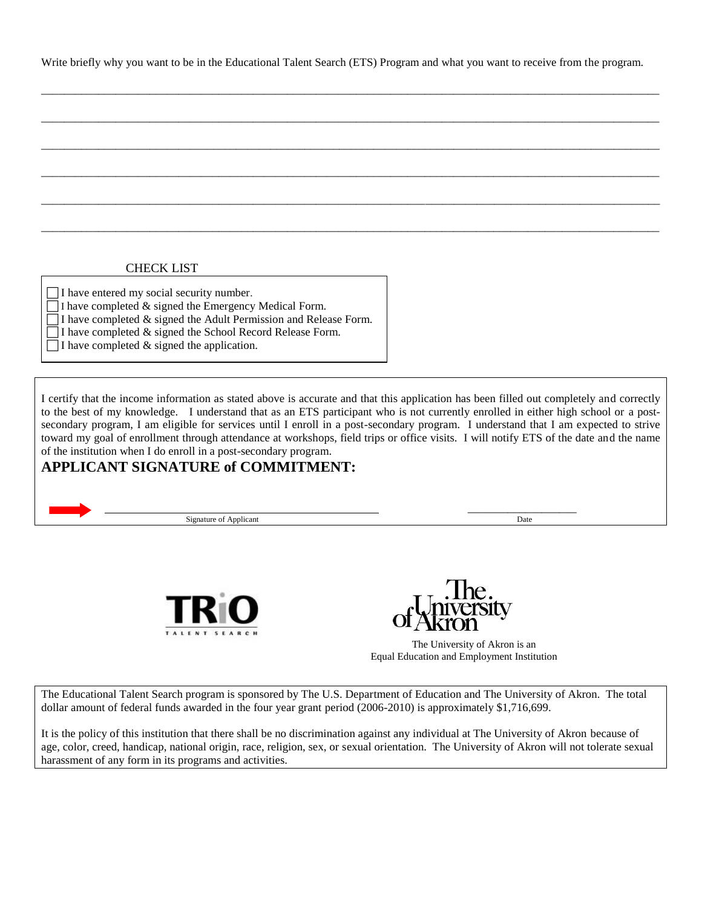Write briefly why you want to be in the Educational Talent Search (ETS) Program and what you want to receive from the program.

\_\_\_\_\_\_\_\_\_\_\_\_\_\_\_\_\_\_\_\_\_\_\_\_\_\_\_\_\_\_\_\_\_\_\_\_\_\_\_\_\_\_\_\_\_\_\_\_\_\_\_\_\_\_\_\_\_\_\_\_\_\_\_\_\_\_\_\_\_\_\_\_\_\_\_\_\_\_\_\_\_\_\_\_\_\_\_\_\_\_\_\_\_\_\_\_\_\_\_\_\_\_\_\_\_\_\_\_

\_\_\_\_\_\_\_\_\_\_\_\_\_\_\_\_\_\_\_\_\_\_\_\_\_\_\_\_\_\_\_\_\_\_\_\_\_\_\_\_\_\_\_\_\_\_\_\_\_\_\_\_\_\_\_\_\_\_\_\_\_\_\_\_\_\_\_\_\_\_\_\_\_\_\_\_\_\_\_\_\_\_\_\_\_\_\_\_\_\_\_\_\_\_\_\_\_\_\_\_\_\_\_\_\_\_\_\_

\_\_\_\_\_\_\_\_\_\_\_\_\_\_\_\_\_\_\_\_\_\_\_\_\_\_\_\_\_\_\_\_\_\_\_\_\_\_\_\_\_\_\_\_\_\_\_\_\_\_\_\_\_\_\_\_\_\_\_\_\_\_\_\_\_\_\_\_\_\_\_\_\_\_\_\_\_\_\_\_\_\_\_\_\_\_\_\_\_\_\_\_\_\_\_\_\_\_\_\_\_\_\_\_\_\_\_\_

\_\_\_\_\_\_\_\_\_\_\_\_\_\_\_\_\_\_\_\_\_\_\_\_\_\_\_\_\_\_\_\_\_\_\_\_\_\_\_\_\_\_\_\_\_\_\_\_\_\_\_\_\_\_\_\_\_\_\_\_\_\_\_\_\_\_\_\_\_\_\_\_\_\_\_\_\_\_\_\_\_\_\_\_\_\_\_\_\_\_\_\_\_\_\_\_\_\_\_\_\_\_\_\_\_\_\_\_

\_\_\_\_\_\_\_\_\_\_\_\_\_\_\_\_\_\_\_\_\_\_\_\_\_\_\_\_\_\_\_\_\_\_\_\_\_\_\_\_\_\_\_\_\_\_\_\_\_\_\_\_\_\_\_\_\_\_\_\_\_\_\_\_\_\_\_\_\_\_\_\_\_\_\_\_\_\_\_\_\_\_\_\_\_\_\_\_\_\_\_\_\_\_\_\_\_\_\_\_\_\_\_\_\_\_\_\_

\_\_\_\_\_\_\_\_\_\_\_\_\_\_\_\_\_\_\_\_\_\_\_\_\_\_\_\_\_\_\_\_\_\_\_\_\_\_\_\_\_\_\_\_\_\_\_\_\_\_\_\_\_\_\_\_\_\_\_\_\_\_\_\_\_\_\_\_\_\_\_\_\_\_\_\_\_\_\_\_\_\_\_\_\_\_\_\_\_\_\_\_\_\_\_\_\_\_\_\_\_\_\_\_\_\_\_\_

#### CHECK LIST

 $\Box$  I have entered my social security number.

 $\Box$  I have completed & signed the Emergency Medical Form.

 $\Box$  I have completed  $\&$  signed the Adult Permission and Release Form.

I have completed & signed the School Record Release Form.

 $\Box$  I have completed & signed the application.

I certify that the income information as stated above is accurate and that this application has been filled out completely and correctly to the best of my knowledge. I understand that as an ETS participant who is not currently enrolled in either high school or a postsecondary program, I am eligible for services until I enroll in a post-secondary program. I understand that I am expected to strive toward my goal of enrollment through attendance at workshops, field trips or office visits. I will notify ETS of the date and the name of the institution when I do enroll in a post-secondary program.

### **APPLICANT SIGNATURE of COMMITMENT:**

 $\qquad \qquad$   $\qquad \qquad$   $\qquad$   $\qquad$   $\qquad$   $\qquad$   $\qquad$   $\qquad$   $\qquad$   $\qquad$   $\qquad$   $\qquad$   $\qquad$   $\qquad$   $\qquad$   $\qquad$   $\qquad$   $\qquad$   $\qquad$   $\qquad$   $\qquad$   $\qquad$   $\qquad$   $\qquad$   $\qquad$   $\qquad$   $\qquad$   $\qquad$   $\qquad$   $\qquad$   $\qquad$   $\qquad$   $\qquad$   $\qquad$   $\qquad$   $\qquad$ Signature of Applicant Date of Applicant Date of Applicant Date of Applicant Date of Applicant Date of Applicant Date of Applicant Date of Applicant Date of Applicant Date of Applicant Date of Applicant Date of Applicant D



The Educational Talent Search program is sponsored by The U.S. Department of Education and The University of Akron. The total dollar amount of federal funds awarded in the four year grant period (2006-2010) is approximately \$1,716,699.

It is the policy of this institution that there shall be no discrimination against any individual at The University of Akron because of age, color, creed, handicap, national origin, race, religion, sex, or sexual orientation. The University of Akron will not tolerate sexual harassment of any form in its programs and activities.

The University of Akron is an Equal Education and Employment Institution